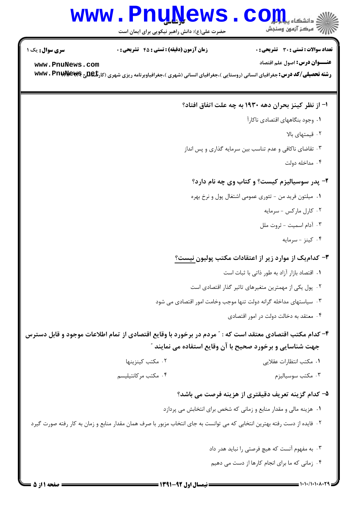### **www.PnuNews.com** .<br>\||// " مرکز آزمون وسنجش

حضرت علی(ع): دانش راهبر نیکویی برای ایمان است

تعداد سوالات : تستى : 30 - تشريحي : 0

**زمان آزمون (دقیقه) : تستی : 45 تشریحی : 0** 

**سری سوال :** یک ۱

www.PnuNews.com

**عنـــوان درس:** اصول علم اقتصاد

**رشته تحصیلی/کد درس:** جغرافیای انسانی (روستایی )،جغرافیای انسانی (شهری )،جغرافیاوبرنامه ریزی شهری (کار**تگلیج www . Pnuk)** 

#### ا– از نظر کینز بحران دهه ۱۹۳۰ به چه علت اتفاق افتاد؟

- ۰۱ وجود بنگاههای اقتصادی ناکارآ
	- ٠٢ قيمتهاى بالا
- ۰۳ تقاضای ناکافی و عدم تناسب بین سرمایه گذاری و پس انداز
	- ۰۴ مداخله دولت

#### ۲- پدر سوسیالیزم کیست؟ و کتاب وی چه نام دارد؟

- ۰۱ میلتون فرید من تئوری عمومی اشتغال پول و نرخ بهره
	- ۰۲ کارل مارکس سرمایه
	- ۰۳ آدام اسمیت ثروت ملل
		- ۰۴ کینز سرمایه

#### ۳- کدامیک از موارد زیر از اعتقادات مکتب پولیون نیست؟

- ٠١. اقتصاد بازار آزاد به طور ذاتي با ثبات است
- ٢. پول یکی از مهمترین متغیرهای تاثیر گذار اقتصادی است
- ۰۳ سیاستهای مداخله گرانه دولت تنها موجب وخامت امور اقتصادی می شود
	- ۰۴ معتقد به دخالت دولت در امور اقتصادی

#### ۴- کدام مکتب اقتصادی معتقد است که : ″ مردم در برخورد با وقایع اقتصادی از تمام اطلاعات موجود و قابل دسترس جهت شناسایی و برخورد صحیح با آن وقایع استفاده می نمایند ″

- ٠٢ مكتب كينزينها ٠١. مكتب انتظارات عقلايي ۰۴ مكتب مركانتيليسم
	- ۰۳ مکتب سوسیالیزم

#### ۵– کدام گزینه تعریف دقیقتری از هزینه فرصت می باشد؟

- ۰۱ هزینه مالی و مقدار منابع و زمانی که شخص برای انتخابش می پردازد
- ٢٠ فايده از دست رفته بهترين انتخابي كه مي توانست به جاي انتخاب مزبور با صرف همان مقدار منابع و زمان به كار رفته صورت گيرد
	- ۰۳ به مفهوم آنست که هیچ فرصتی را نباید هدر داد ۰۴ زمانی که ما برای انجام کارها از دست می دهیم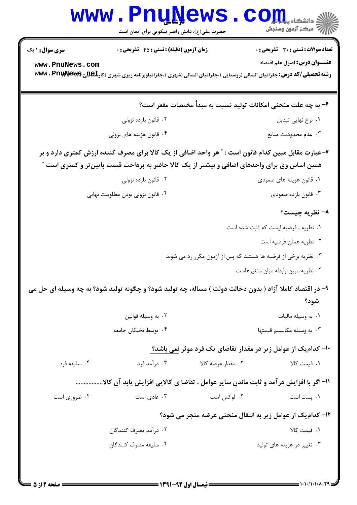|                        | www.PnuNews<br>حضرت علی(ع): دانش راهبر نیکویی برای ایمان است                                                                                                                                        | اللاد دانشگاه پیاور از ایران<br>۱۳۱۱ - مرکز آزمون وسنجش         |
|------------------------|-----------------------------------------------------------------------------------------------------------------------------------------------------------------------------------------------------|-----------------------------------------------------------------|
| <b>سری سوال : ۱ یک</b> | زمان آزمون (دقیقه) : تستی : 45 تشریحی : 0                                                                                                                                                           | <b>تعداد سوالات : تستی : 30 ٪ تشریحی : 0</b>                    |
| www.PnuNews.com        | <b>رشته تحصیلی/کد درس:</b> جغرافیای انسانی (روستایی )،جغرافیای انسانی (شهری )،جغرافیاوبرنامه ریزی شهری (کار <b>تگهللج WWW . Pnuk) W</b>                                                             | <b>عنـــوان درس:</b> اصول علم اقتصاد                            |
|                        |                                                                                                                                                                                                     | ۶– به چه علت منحنی امکانات تولید نسبت به مبداً مختصات مقعر است؟ |
|                        | ۰۲ قانون بازده نزولي                                                                                                                                                                                | ٠١ نرخ نهايي تبديل                                              |
|                        | ۰۴ قانون هزينه هاي نزولي                                                                                                                                                                            | ۰۳ عدم محدوديت منابع                                            |
|                        | ۷-عبارت مقابل مبین کدام قانون است : " هر واحد اضافی از یک کالا برای مصرف کننده ارزش کمتری دارد و بر<br>همین اساس وی برای واحدهای اضافی و بیشتر از یک کالا حاضر به پرداخت قیمت پایینتر و کمتری است " |                                                                 |
|                        | ۰۲ قانون بازده نزولی                                                                                                                                                                                | ۰۱ قانون هزینه های صعودی                                        |
|                        | ۰۴ قانون نزولی بودن مطلوبیت نهایی                                                                                                                                                                   | ۰۳ قانون بازده صعودي                                            |
|                        |                                                                                                                                                                                                     | ۸- نظریه چیست؟                                                  |
|                        |                                                                                                                                                                                                     | ٠١ نظريه ، فرضيه ايست كه ثابت شده است                           |
|                        |                                                                                                                                                                                                     | ۰۲ نظریه همان فرضیه است                                         |
|                        |                                                                                                                                                                                                     | ۰۳ نظریه برخی از فرضیه ها هستند که پس از آزمون مکرر رد می شوند  |
|                        |                                                                                                                                                                                                     | ۰۴ نظریه مبین رابطه میان متغیرهاست                              |
|                        | ۹- در اقتصاد کاملا آزاد ( بدون دخالت دولت ) مساله، چه تولید شود؟ و چگونه تولید شود؟ به چه وسیله ای حل می                                                                                            |                                                                 |

## شود؟

- ۰۲ به وسیله قوانین ٠١. به وسيله ماليات ۰۴ توسط نخبگان جامعه ۰۳ به وسیله مکانیسم قیمتها
- ∙ا− کدامیک از عوامل زیر در مقدار تقاضای یک فرد موثر نمی باشد؟ ۰۳ درآمد فرد ۲. مقدار عرضه کالا ۰۴ سلیقه فرد ١. قيمت كالا 11- اگر با افزایش در آمد و ثابت ماندن سایر عوامل ، تقاضا ی کالایی افزایش یابد آن کالا................ ۰۳ عادی است ۰۲ لوکس است ۰۴ ضروری است ۰۱ پست است
	- ۱۲- کدامیک از عوامل زیر به انتقال منحنی عرضه منجر می شود؟ ۲. درآمد مصرف کنندگان ٠١ قيمت كالا ۰۴ سليقه مصرف كنندگان ۰۳ تغییر در هزینه های تولید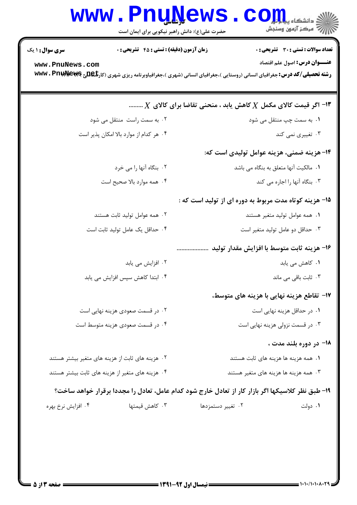|                                           | <b>www.PnuNews</b><br>حضرت علی(ع): دانش راهبر نیکویی برای ایمان است | في دانشگاه پي <b>ام کال</b><br>// مرکز آزمون وسنجش                                                                                                                                                                        |
|-------------------------------------------|---------------------------------------------------------------------|---------------------------------------------------------------------------------------------------------------------------------------------------------------------------------------------------------------------------|
| <b>سری سوال : ۱ یک</b><br>www.PnuNews.com | <b>زمان آزمون (دقیقه) : تستی : 45 گشریحی : 0</b>                    | تعداد سوالات : تستي : 30 ٪ تشريحي : 0<br><b>عنـــوان درس:</b> اصول علم اقتصاد<br><b>رشته تحصیلی/کد درس:</b> جغرافیای انسانی (روستایی )،جغرافیای انسانی (شهری )،جغرافیاوبرنامه ریزی شهری (کار <b>تگهللج WWW . PnukNews</b> |
|                                           |                                                                     | ا– اگر قیمت کالای مکمل $X$ کاهش یابد ، منحنی تقاضا برای کالای $X$                                                                                                                                                         |
|                                           | ۰۲ به سمت راست منتقل می شود                                         | ۰۱ به سمت چپ منتقل می شود                                                                                                                                                                                                 |
|                                           | ۰۴ هر کدام از موارد بالا امکان پذیر است                             | ۰۳ تغییری نمی کند                                                                                                                                                                                                         |
|                                           |                                                                     | ۱۴– هزینه ضمنی، هزینه عوامل تولیدی است که:                                                                                                                                                                                |
|                                           | ۰۲ بنگاه آنها را می خرد                                             | ٠١. مالكيت آنها متعلق به بنگاه مى باشد                                                                                                                                                                                    |
|                                           | ۰۴ همه موارد بالا صحیح است                                          | ۰۳ بنگاه آنها را اجاره می کند                                                                                                                                                                                             |
|                                           |                                                                     | ۱۵- هزینه کوتاه مدت مربوط به دوره ای از تولید است که :                                                                                                                                                                    |
|                                           | ۰۲ همه عوامل تولید ثابت هستند                                       | ۰۱ همه عوامل تولید متغیر هستند                                                                                                                                                                                            |
|                                           | ۰۴ حداقل یک عامل تولید ثابت است                                     | ۰۳ حداقل دو عامل تولید متغیر است                                                                                                                                                                                          |
|                                           |                                                                     | 1۶- هزينه ثابت متوسط با افزايش مقدار توليد                                                                                                                                                                                |
|                                           | ۰۲ افزایش می یابد                                                   | ۰۱ کاهش می یابد                                                                                                                                                                                                           |
|                                           | ۰۴ ابتدا کاهش سپس افزایش می یابد                                    | ۰۳ ثابت باقی می ماند                                                                                                                                                                                                      |
|                                           |                                                                     | ۱۷– تقاطع هزینه نهایی با هزینه های متوسط،                                                                                                                                                                                 |
|                                           | ۰۲ در قسمت صعودی هزینه نهایی است                                    | ۰۱ در حداقل هزینه نهایی است                                                                                                                                                                                               |
|                                           | ۰۴ در قسمت صعودی هزینه متوسط است                                    | ۰۳ در قسمت نزولی هزینه نهایی است                                                                                                                                                                                          |
|                                           |                                                                     | 1۸− در دوره بلند مدت ،                                                                                                                                                                                                    |
|                                           | ۰۲ هزینه های ثابت از هزینه های متغیر بیشتر هستند                    | ۰۱ همه هزینه ها هزینه های ثابت هستند                                                                                                                                                                                      |
|                                           | ۰۴ هزینه های متغیر از هزینه های ثابت بیشتر هستند                    | ۰۳ همه هزینه ها هزینه های متغیر هستند                                                                                                                                                                                     |

#### ۱۹- طبق نظر کلاسیکها اگر بازار کار از تعادل خارج شود کدام عامل، تعادل را مجددا برقرار خواهد ساخت؟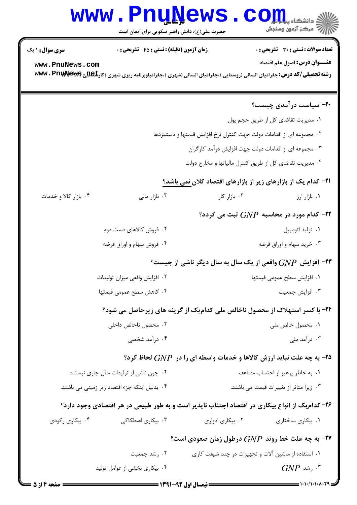# Www.PnuNews.com

| <b>سری سوال : ۱ یک</b>                                                                          | <b>زمان آزمون (دقیقه) : تستی : 45 تشریحی : 0</b>                      |                  | تعداد سوالات : تستي : 30 ٪ تشريحي : 0                                                                                                 |  |  |
|-------------------------------------------------------------------------------------------------|-----------------------------------------------------------------------|------------------|---------------------------------------------------------------------------------------------------------------------------------------|--|--|
| www.PnuNews.com                                                                                 |                                                                       |                  | <b>عنـــوان درس:</b> اصول علم اقتصاد                                                                                                  |  |  |
|                                                                                                 |                                                                       |                  | <b>رشته تحصیلی/کد درس:</b> جغرافیای انسانی (روستایی )،جغرافیای انسانی (شهری )،جغرافیاوبرنامه ریزی شهری (کار <b>تگهللج WWW . Pnuk)</b> |  |  |
|                                                                                                 |                                                                       |                  |                                                                                                                                       |  |  |
|                                                                                                 |                                                                       |                  | ۲۰- سیاست در آمدی چیست؟                                                                                                               |  |  |
|                                                                                                 |                                                                       |                  | ٠١ مديريت تقاضاي كل از طريق حجم پول                                                                                                   |  |  |
| ۰۲ مجموعه ای از اقدامات دولت جهت کنترل نرخ افزایش قیمتها و دستمزدها                             |                                                                       |                  |                                                                                                                                       |  |  |
|                                                                                                 | ۰۳ مجموعه ای از اقدامات دولت جهت افزایش درآمد کارگران                 |                  |                                                                                                                                       |  |  |
|                                                                                                 | ۰۴ مدیریت تقاضای کل از طریق کنترل مالیاتها و مخارج دولت               |                  |                                                                                                                                       |  |  |
|                                                                                                 | <b>۲۱</b> – کدام یک از بازارهای زیر از بازارهای اقتصاد کلان نمی باشد؟ |                  |                                                                                                                                       |  |  |
| ۰۴ بازار کالا و خدمات                                                                           | ۰۳ بازار مالی                                                         | ۰۲ بازار کار     | ۰۱ بازار ارز                                                                                                                          |  |  |
| ۳۲- کدام مورد در محاسبه $GNP$ ثبت می گردد؟                                                      |                                                                       |                  |                                                                                                                                       |  |  |
|                                                                                                 | ۰۲ فروش کالاهای دست دوم                                               |                  | ۰۱ تولید اتومبیل                                                                                                                      |  |  |
|                                                                                                 | ۰۴ فروش سهام و اوراق قرضه                                             |                  | ۰۳ خرید سهام و اوراق قرضه                                                                                                             |  |  |
| ۹۳- افزایش $GNP$ واقعی از یک سال به سال دیگر ناشی از چیست؟                                      |                                                                       |                  |                                                                                                                                       |  |  |
|                                                                                                 | ۰۲ افزایش واقعی میزان تولیدات                                         |                  | ٠١ افزايش سطح عمومي قيمتها                                                                                                            |  |  |
|                                                                                                 | ۴. كاهش سطح عمومي قيمتها                                              |                  | ۰۳ افزايش جمعيت                                                                                                                       |  |  |
|                                                                                                 |                                                                       |                  | ۲۴- با کسر استهلاک از محصول ناخالص ملی کدامیک از گزینه های زیرحاصل می شود؟                                                            |  |  |
|                                                                                                 | ۰۲ محصول ناخالص داخلی                                                 |                  | ٠١ محصول خالص ملي                                                                                                                     |  |  |
|                                                                                                 | ۰۴ درآمد شخصی                                                         |                  | ۰۳ درآمد ملی                                                                                                                          |  |  |
|                                                                                                 |                                                                       |                  | ۹۵- به چه علت نباید ارزش کالاها و خدمات واسطه ای را در $GNP$ لحاظ کرد؟                                                                |  |  |
|                                                                                                 | ۰۲ چون ناشی از تولیدات سال جاری نیستند.                               |                  | ۰۱ به خاطر پرهیز از احتساب مضاعف.                                                                                                     |  |  |
|                                                                                                 | ۰۴ بدلیل اینکه جزء اقتصاد زیر زمینی می باشند.                         |                  | ۰۳ زیرا متاثر از تغییرات قیمت می باشند.                                                                                               |  |  |
| ۲۶– کدام یک از انواع بیکاری در اقتصاد اجتناب ناپذیر است و به طور طبیعی در هر اقتصادی وجود دارد؟ |                                                                       |                  |                                                                                                                                       |  |  |
| ۰۴ بیکاری رکودی                                                                                 | ۰۳ بیکاری اصطکاکی                                                     | ۰۲ بیکاری ادواری | ۰۱ بیکاری ساختاری                                                                                                                     |  |  |
| ۰۲۷ به چه علت خط روند $G\!N P$ درطول زمان صعودی است؟                                            |                                                                       |                  |                                                                                                                                       |  |  |
|                                                                                                 | ۰۲ رشد جمعیت                                                          |                  | ٠١. استفاده از ماشين آلات و تجهيزات در چند شيفت كارى                                                                                  |  |  |
|                                                                                                 | ۰۴ بیکاری بخشی از عوامل تولید                                         |                  | $GNP$ شد. $^{\mathsf{r}}$                                                                                                             |  |  |